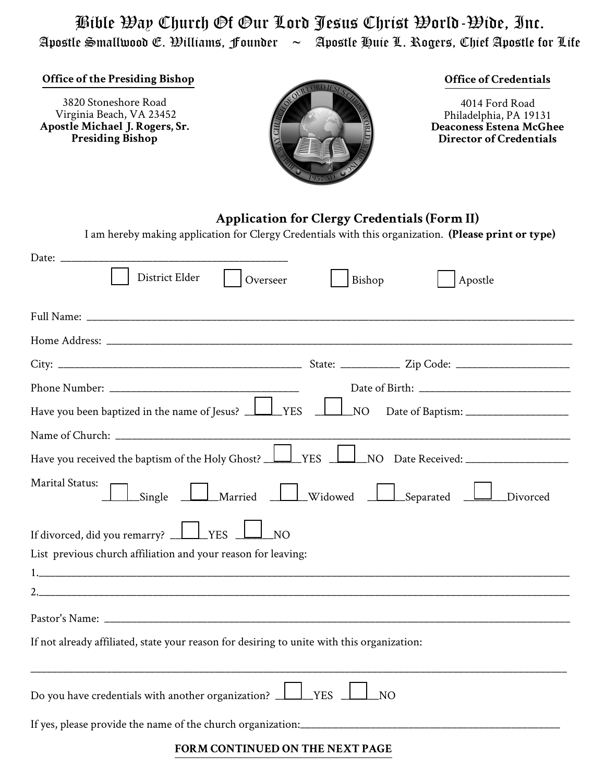Bible Way Church Of Our Lord Jesus Christ World-Wide, Inc. Apostle Smallwood E. Williams, Founder  $\sim$  Apostle Huie L. Rogers, Chief Apostle for Life

**Office of the Presiding Bishop**

3820 Stoneshore Road Virginia Beach, VA 23452 **Apostle Michael J. Rogers, Sr. Presiding Bishop**



## **Office of Credentials**

4014 Ford Road Philadelphia, PA 19131 **Deaconess Estena McGhee Director of Credentials**

## **Application for Clergy Credentials (Form II)**

I am hereby making application for Clergy Credentials with this organization. **(Please print or type)**

| District Elder<br>Overseer<br>Bishop<br>Apostle                                                                     |
|---------------------------------------------------------------------------------------------------------------------|
|                                                                                                                     |
|                                                                                                                     |
|                                                                                                                     |
|                                                                                                                     |
| Have you been baptized in the name of Jesus? <u>Land YES</u>                                                        |
|                                                                                                                     |
| Have you received the baptism of the Holy Ghost? <u>LU</u> YES LU NO Date Received: _____________________           |
| <b>Marital Status:</b><br>Single <u>Late Married</u> <u>Late Widowed</u> <u>Late Separated</u> <u>Late Divorced</u> |
| If divorced, did you remarry? $\Box$ YES $\Box$<br>$\perp$ NO                                                       |
| List previous church affiliation and your reason for leaving:                                                       |
|                                                                                                                     |
|                                                                                                                     |
|                                                                                                                     |
| If not already affiliated, state your reason for desiring to unite with this organization:                          |
| Do you have credentials with another organization? <u>LLI</u> YES<br>N <sub>O</sub>                                 |
|                                                                                                                     |
| <b>DODAL COMMUNIUD ON BURNIER AT 1. OR</b>                                                                          |

**FORM CONTINUED ON THE NEXT PAGE**